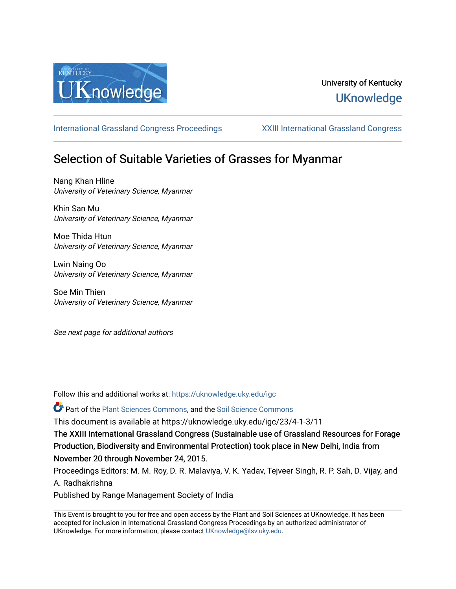

## University of Kentucky **UKnowledge**

[International Grassland Congress Proceedings](https://uknowledge.uky.edu/igc) [XXIII International Grassland Congress](https://uknowledge.uky.edu/igc/23) 

# Selection of Suitable Varieties of Grasses for Myanmar

Nang Khan Hline University of Veterinary Science, Myanmar

Khin San Mu University of Veterinary Science, Myanmar

Moe Thida Htun University of Veterinary Science, Myanmar

Lwin Naing Oo University of Veterinary Science, Myanmar

Soe Min Thien University of Veterinary Science, Myanmar

See next page for additional authors

Follow this and additional works at: [https://uknowledge.uky.edu/igc](https://uknowledge.uky.edu/igc?utm_source=uknowledge.uky.edu%2Figc%2F23%2F4-1-3%2F11&utm_medium=PDF&utm_campaign=PDFCoverPages) 

Part of the [Plant Sciences Commons](http://network.bepress.com/hgg/discipline/102?utm_source=uknowledge.uky.edu%2Figc%2F23%2F4-1-3%2F11&utm_medium=PDF&utm_campaign=PDFCoverPages), and the [Soil Science Commons](http://network.bepress.com/hgg/discipline/163?utm_source=uknowledge.uky.edu%2Figc%2F23%2F4-1-3%2F11&utm_medium=PDF&utm_campaign=PDFCoverPages) 

This document is available at https://uknowledge.uky.edu/igc/23/4-1-3/11

The XXIII International Grassland Congress (Sustainable use of Grassland Resources for Forage Production, Biodiversity and Environmental Protection) took place in New Delhi, India from November 20 through November 24, 2015.

Proceedings Editors: M. M. Roy, D. R. Malaviya, V. K. Yadav, Tejveer Singh, R. P. Sah, D. Vijay, and A. Radhakrishna

Published by Range Management Society of India

This Event is brought to you for free and open access by the Plant and Soil Sciences at UKnowledge. It has been accepted for inclusion in International Grassland Congress Proceedings by an authorized administrator of UKnowledge. For more information, please contact [UKnowledge@lsv.uky.edu](mailto:UKnowledge@lsv.uky.edu).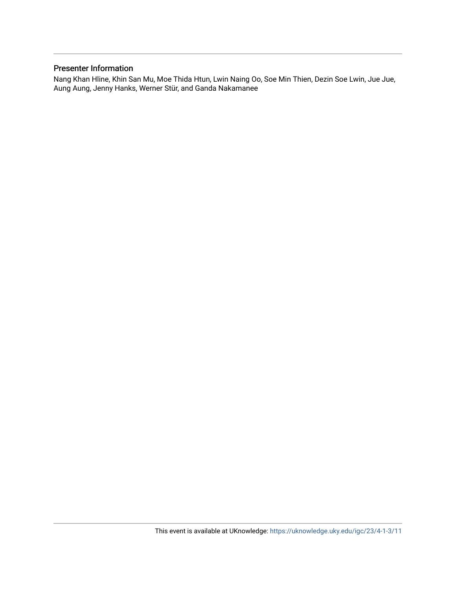## Presenter Information

Nang Khan Hline, Khin San Mu, Moe Thida Htun, Lwin Naing Oo, Soe Min Thien, Dezin Soe Lwin, Jue Jue, Aung Aung, Jenny Hanks, Werner Stür, and Ganda Nakamanee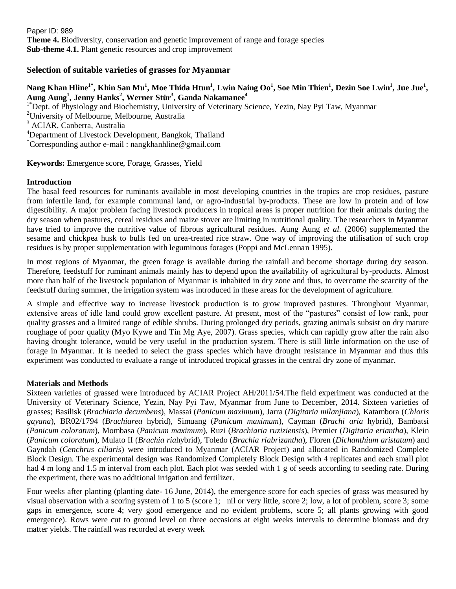Paper ID: 989 **Theme 4.** Biodiversity, conservation and genetic improvement of range and forage species **Sub-theme 4.1.** Plant genetic resources and crop improvement

## **Selection of suitable varieties of grasses for Myanmar**

## Nang Khan Hline<sup>1\*</sup>, Khin San Mu<sup>1</sup>, Moe Thida Htun<sup>1</sup>, Lwin Naing Oo<sup>1</sup>, Soe Min Thien<sup>1</sup>, Dezin Soe Lwin<sup>1</sup>, Jue Jue<sup>1</sup>, **Aung Aung<sup>1</sup> , Jenny Hanks<sup>2</sup> , Werner Stür<sup>3</sup> , Ganda Nakamanee<sup>4</sup>**

<sup>1\*</sup>Dept. of Physiology and Biochemistry, University of Veterinary Science, Yezin, Nay Pyi Taw, Myanmar

<sup>2</sup>University of Melbourne, Melbourne, Australia

<sup>3</sup> ACIAR, Canberra, Australia

<sup>4</sup>Department of Livestock Development, Bangkok, Thailand

\*Corresponding author e-mail : nangkhanhline@gmail.com

**Keywords:** Emergence score, Forage, Grasses, Yield

## **Introduction**

The basal feed resources for ruminants available in most developing countries in the tropics are crop residues, pasture from infertile land, for example communal land, or agro-industrial by-products. These are low in protein and of low digestibility. A major problem facing livestock producers in tropical areas is proper nutrition for their animals during the dry season when pastures, cereal residues and maize stover are limiting in nutritional quality. The researchers in Myanmar have tried to improve the nutritive value of fibrous agricultural residues. Aung Aung *et al.* (2006) supplemented the sesame and chickpea husk to bulls fed on urea-treated rice straw. One way of improving the utilisation of such crop residues is by proper supplementation with leguminous forages (Poppi and McLennan 1995).

In most regions of Myanmar, the green forage is available during the rainfall and become shortage during dry season. Therefore, feedstuff for ruminant animals mainly has to depend upon the availability of agricultural by-products. Almost more than half of the livestock population of Myanmar is inhabited in dry zone and thus, to overcome the scarcity of the feedstuff during summer, the irrigation system was introduced in these areas for the development of agriculture.

A simple and effective way to increase livestock production is to grow improved pastures. Throughout Myanmar, extensive areas of idle land could grow excellent pasture. At present, most of the "pastures" consist of low rank, poor quality grasses and a limited range of edible shrubs. During prolonged dry periods, grazing animals subsist on dry mature roughage of poor quality (Myo Kywe and Tin Mg Aye, 2007). Grass species, which can rapidly grow after the rain also having drought tolerance, would be very useful in the production system. There is still little information on the use of forage in Myanmar. It is needed to select the grass species which have drought resistance in Myanmar and thus this experiment was conducted to evaluate a range of introduced tropical grasses in the central dry zone of myanmar.

#### **Materials and Methods**

Sixteen varieties of grassed were introduced by ACIAR Project AH/2011/54.The field experiment was conducted at the University of Veterinary Science, Yezin, Nay Pyi Taw, Myanmar from June to December, 2014. Sixteen varieties of grasses; Basilisk (*Brachiaria decumbens*), Massai (*Panicum maximum*), Jarra (*Digitaria milanjiana*), Katambora (*Chloris gayana*), BR02/1794 (*Brachiarea* hybrid), Simuang (*Panicum maximum*), Cayman (*Brachi aria* hybrid), Bambatsi (*Panicum coloratum*), Mombasa (*Panicum maximum*), Ruzi (*Brachiaria ruziziensis*), Premier (*Digitaria eriantha*), Klein (*Panicum coloratum*), Mulato II (*Brachia ria*hybrid), Toledo (*Brachia riabrizantha*), Floren (*Dichanthium aristatum*) and Gayndah (*Cenchrus ciliaris*) were introduced to Myanmar (ACIAR Project) and allocated in Randomized Complete Block Design. The experimental design was Randomized Completely Block Design with 4 replicates and each small plot had 4 m long and 1.5 m interval from each plot. Each plot was seeded with 1 g of seeds according to seeding rate. During the experiment, there was no additional irrigation and fertilizer.

Four weeks after planting (planting date- 16 June, 2014), the emergence score for each species of grass was measured by visual observation with a scoring system of 1 to 5 (score 1; nil or very little, score 2; low, a lot of problem, score 3; some gaps in emergence, score 4; very good emergence and no evident problems, score 5; all plants growing with good emergence). Rows were cut to ground level on three occasions at eight weeks intervals to determine biomass and dry matter yields. The rainfall was recorded at every week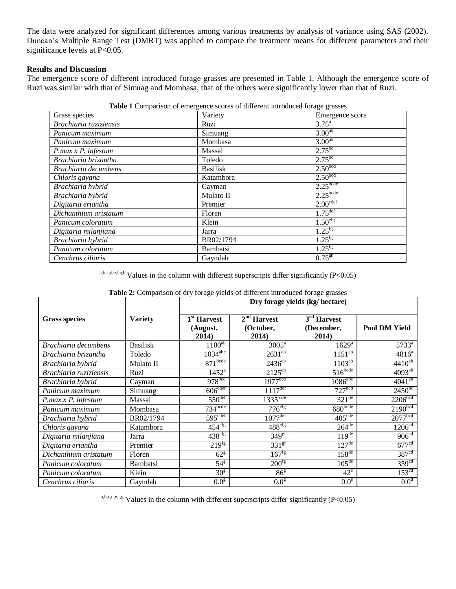The data were analyzed for significant differences among various treatments by analysis of variance using SAS (2002). Duncan's Multiple Range Test (DMRT) was applied to compare the treatment means for different parameters and their significance levels at P<0.05.

## **Results and Discussion**

The emergence score of different introduced forage grasses are presented in Table 1. Although the emergence score of Ruzi was similar with that of Simuag and Mombasa, that of the others were significantly lower than that of Ruzi.

| o- o--                 |                 |                      |  |  |  |  |
|------------------------|-----------------|----------------------|--|--|--|--|
| Grass species          | Variety         | Emergence score      |  |  |  |  |
| Brachiaria ruziziensis | Ruzi            | $3.75^{\circ}$       |  |  |  |  |
| Panicum maximum        | Simuang         | 3.00 <sup>ab</sup>   |  |  |  |  |
| Panicum maximum        | Mombasa         | 3.00 <sup>ab</sup>   |  |  |  |  |
| $P.max x P.$ infestum  | Massai          | $2.75^{bc}$          |  |  |  |  |
| Brachiaria brizantha   | Toledo          | $2.75^{bc}$          |  |  |  |  |
| Brachiaria decumbens   | <b>Basilisk</b> | 2.50 <sup>bcd</sup>  |  |  |  |  |
| Chloris gayana         | Katambora       | 2.50 <sup>bcd</sup>  |  |  |  |  |
| Brachiaria hybrid      | Cayman          | $2.25$ bcde          |  |  |  |  |
| Brachiaria hybrid      | Mulato II       | $2.25$ bcde          |  |  |  |  |
| Digitaria eriantha     | Premier         | 2.00 <sup>cdef</sup> |  |  |  |  |
| Dichanthium aristatum  | Floren          | $1.75^{\text{def}}$  |  |  |  |  |
| Panicum coloratum      | Klein           | 1.50 <sup>efg</sup>  |  |  |  |  |
| Digitaria milanjiana   | Jarra           | $1.25^{fg}$          |  |  |  |  |
| Brachiaria hybrid      | BR02/1794       | $1.25^{fg}$          |  |  |  |  |
| Panicum coloratum      | Bambatsi        | $1.25^{fg}$          |  |  |  |  |
| Cenchrus ciliaris      | Gayndah         | $0.75^{gh}$          |  |  |  |  |
|                        |                 |                      |  |  |  |  |

**Table 1** Comparison of emergence scores of different introduced forage grasses

a,b,c,d,e,f,g,h Values in the column with different superscripts differ significantly (P<0.05)

|                        |                 | <b>Table 2.</b> Comparison of any forage yields of unferent mutuated forage grasses<br>Dry forage yields (kg/ hectare) |                                     |                                      |                     |
|------------------------|-----------------|------------------------------------------------------------------------------------------------------------------------|-------------------------------------|--------------------------------------|---------------------|
| <b>Grass species</b>   | <b>Variety</b>  | 1 <sup>st</sup> Harvest<br>(August,<br>2014)                                                                           | $2nd$ Harvest<br>(October,<br>2014) | $3rd$ Harvest<br>(December,<br>2014) | Pool DM Yield       |
| Brachiaria decumbens   | <b>Basilisk</b> | $1100^{ab}$                                                                                                            | 3005 <sup>a</sup>                   | $1629^{\rm a}$                       | 5733 <sup>a</sup>   |
| Brachiaria brizantha   | Toledo          | $103\overline{4^{abc}}$                                                                                                | $2631^{ab}$                         | $1151^{ab}$                          | $4816^a$            |
| Brachiaria hybrid      | Mulato II       | 871 <sup>bcde</sup>                                                                                                    | $2436^{ab}$                         | $1103^{ab}$                          | $4410^{ab}$         |
| Brachiaria ruziziensis | Ruzi            | $1452^{\rm a}$                                                                                                         | $2125^{ab}$                         | $516^{bcde}$                         | $4093^{ab}$         |
| Brachiaria hybrid      | Cayman          | 978 <sup>bcd</sup>                                                                                                     | $1977$ <sup>bcd</sup>               | $1086^{\text{abc}}$                  | $4041^{ab}$         |
| Panicum maximum        | Simuang         | 606 <sup>cdef</sup>                                                                                                    | $\overline{1117}$ <sup>def</sup>    | 727 <sup>bcd</sup>                   | $2450^{bc}$         |
| $P.max x P.$ infestum  | Massai          | $550^{\text{def}}$                                                                                                     | $1335$ <sup>cde</sup>               | $321^{\text{de}}$                    | 2206 <sup>bcd</sup> |
| Panicum maximum        | Mombasa         | $734$ <sub>bcde</sub>                                                                                                  | $776$ <sup>efg</sup>                | 680 <sub>bcde</sub>                  | 2190 <sup>bcd</sup> |
| Brachiaria hybrid      | BR02/1794       | 595 <sup>cdef</sup>                                                                                                    | $1077$ <sup>def</sup>               | 405 <sup>cde</sup>                   | 2077 <sup>bcd</sup> |
| Chloris gayana         | Katambora       | $454^{\text{eff}}$                                                                                                     | 488 <sup>efg</sup>                  | $26\overline{4}$ <sup>de</sup>       | 1206 <sup>cd</sup>  |
| Digitaria milanjiana   | Jarra           | $438^{\text{eff}}$                                                                                                     | 349 <sup>gt</sup>                   | 119 <sup>de</sup>                    | 906 <sup>cd</sup>   |
| Digitaria eriantha     | Premier         | $219$ <sup>Tg</sup>                                                                                                    | $331^{\overline{g}f}$               | $127^{\text{de}}$                    | 677 <sup>cd</sup>   |
| Dichanthium aristatum  | Floren          | $62^{\text{g}}$                                                                                                        | 167 <sup>fg</sup>                   | $158^{de}$                           | 387 <sup>cd</sup>   |
| Panicum coloratum      | <b>Bambatsi</b> | $54^{\overline{g}}$                                                                                                    | 200 <sup>fg</sup>                   | $105^{\text{de}}$                    | 359 <sup>cd</sup>   |
| Panicum coloratum      | Klein           | 30 <sup>g</sup>                                                                                                        | 86 <sup>g</sup>                     | $42^e$                               | 153 <sup>cd</sup>   |
| Cenchrus ciliaris      | Gayndah         | 0.0 <sup>g</sup>                                                                                                       | 0.0 <sup>g</sup>                    | 0.0 <sup>e</sup>                     | 0.0 <sup>d</sup>    |

**Table 2:** Comparison of dry forage yields of different introduced forage grasses

a,b,c,d,e,f,g Values in the column with different superscripts differ significantly (P<0.05)